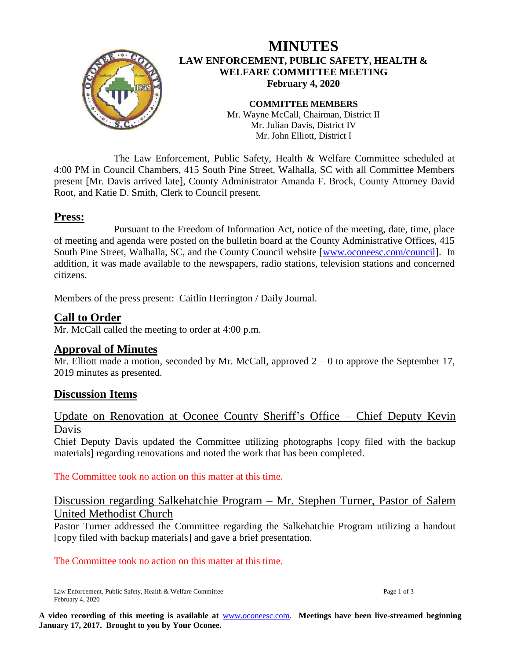

# **MINUTES LAW ENFORCEMENT, PUBLIC SAFETY, HEALTH & WELFARE COMMITTEE MEETING February 4, 2020**

**COMMITTEE MEMBERS** Mr. Wayne McCall, Chairman, District II Mr. Julian Davis, District IV Mr. John Elliott, District I

The Law Enforcement, Public Safety, Health & Welfare Committee scheduled at 4:00 PM in Council Chambers, 415 South Pine Street, Walhalla, SC with all Committee Members present [Mr. Davis arrived late], County Administrator Amanda F. Brock, County Attorney David Root, and Katie D. Smith, Clerk to Council present.

# **Press:**

Pursuant to the Freedom of Information Act, notice of the meeting, date, time, place of meeting and agenda were posted on the bulletin board at the County Administrative Offices, 415 South Pine Street, Walhalla, SC, and the County Council website [\[www.oconeesc.com/council\]](http://www.oconeesc.com/council). In addition, it was made available to the newspapers, radio stations, television stations and concerned citizens.

Members of the press present: Caitlin Herrington / Daily Journal.

## **Call to Order**

Mr. McCall called the meeting to order at 4:00 p.m.

## **Approval of Minutes**

Mr. Elliott made a motion, seconded by Mr. McCall, approved  $2 - 0$  to approve the September 17, 2019 minutes as presented.

## **Discussion Items**

## Update on Renovation at Oconee County Sheriff's Office – Chief Deputy Kevin Davis

Chief Deputy Davis updated the Committee utilizing photographs [copy filed with the backup materials] regarding renovations and noted the work that has been completed.

The Committee took no action on this matter at this time.

# Discussion regarding Salkehatchie Program – Mr. Stephen Turner, Pastor of Salem United Methodist Church

Pastor Turner addressed the Committee regarding the Salkehatchie Program utilizing a handout [copy filed with backup materials] and gave a brief presentation.

#### The Committee took no action on this matter at this time.

Law Enforcement, Public Safety, Health & Welfare Committee Page 1 of 3 February 4, 2020

**A video recording of this meeting is available at** [www.oconeesc.com.](http://www.oconeesc.com/) **Meetings have been live-streamed beginning January 17, 2017. Brought to you by Your Oconee.**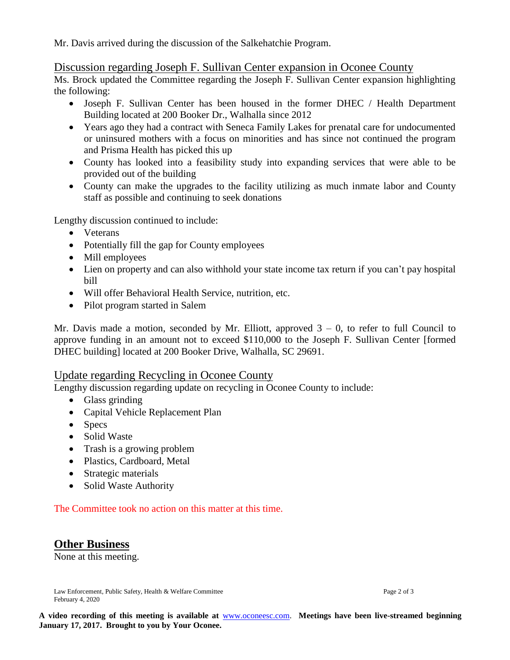Mr. Davis arrived during the discussion of the Salkehatchie Program.

### Discussion regarding Joseph F. Sullivan Center expansion in Oconee County

Ms. Brock updated the Committee regarding the Joseph F. Sullivan Center expansion highlighting the following:

- Joseph F. Sullivan Center has been housed in the former DHEC / Health Department Building located at 200 Booker Dr., Walhalla since 2012
- Years ago they had a contract with Seneca Family Lakes for prenatal care for undocumented or uninsured mothers with a focus on minorities and has since not continued the program and Prisma Health has picked this up
- County has looked into a feasibility study into expanding services that were able to be provided out of the building
- County can make the upgrades to the facility utilizing as much inmate labor and County staff as possible and continuing to seek donations

Lengthy discussion continued to include:

- Veterans
- Potentially fill the gap for County employees
- Mill employees
- Lien on property and can also withhold your state income tax return if you can't pay hospital bill
- Will offer Behavioral Health Service, nutrition, etc.
- Pilot program started in Salem

Mr. Davis made a motion, seconded by Mr. Elliott, approved  $3 - 0$ , to refer to full Council to approve funding in an amount not to exceed \$110,000 to the Joseph F. Sullivan Center [formed DHEC building] located at 200 Booker Drive, Walhalla, SC 29691.

#### Update regarding Recycling in Oconee County

Lengthy discussion regarding update on recycling in Oconee County to include:

- Glass grinding
- Capital Vehicle Replacement Plan
- Specs
- Solid Waste
- Trash is a growing problem
- Plastics, Cardboard, Metal
- Strategic materials
- Solid Waste Authority

The Committee took no action on this matter at this time.

## **Other Business**

None at this meeting.

Law Enforcement, Public Safety, Health & Welfare Committee Page 2 of 3 February 4, 2020

**A video recording of this meeting is available at** [www.oconeesc.com.](http://www.oconeesc.com/) **Meetings have been live-streamed beginning January 17, 2017. Brought to you by Your Oconee.**